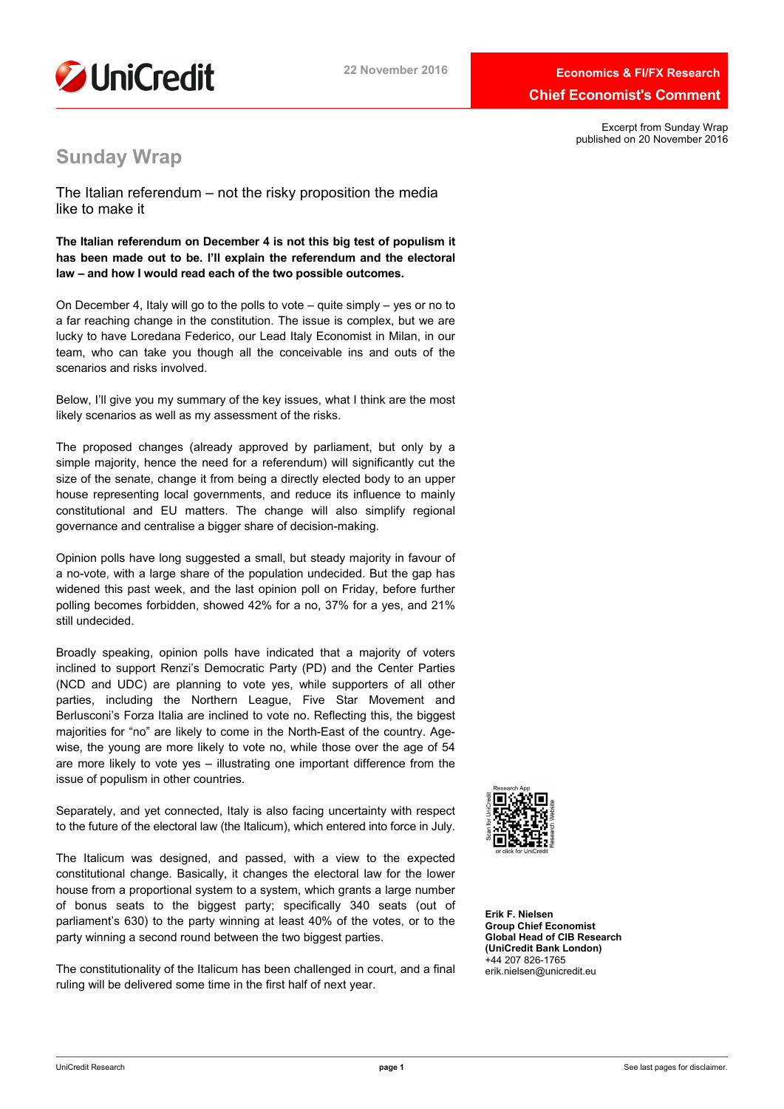

Excerpt from Sunday Wrap published on 20 November 2016

# **Sunday Wrap**

The Italian referendum – not the risky proposition the media like to make it

**The Italian referendum on December 4 is not this big test of populism it has been made out to be. I'll explain the referendum and the electoral law – and how I would read each of the two possible outcomes.**

On December 4, Italy will go to the polls to vote – quite simply – yes or no to a far reaching change in the constitution. The issue is complex, but we are lucky to have Loredana Federico, our Lead Italy Economist in Milan, in our team, who can take you though all the conceivable ins and outs of the scenarios and risks involved.

Below, I'll give you my summary of the key issues, what I think are the most likely scenarios as well as my assessment of the risks.

The proposed changes (already approved by parliament, but only by a simple majority, hence the need for a referendum) will significantly cut the size of the senate, change it from being a directly elected body to an upper house representing local governments, and reduce its influence to mainly constitutional and EU matters. The change will also simplify regional governance and centralise a bigger share of decision-making.

Opinion polls have long suggested a small, but steady majority in favour of a no-vote, with a large share of the population undecided. But the gap has widened this past week, and the last opinion poll on Friday, before further polling becomes forbidden, showed 42% for a no, 37% for a yes, and 21% still undecided.

Broadly speaking, opinion polls have indicated that a majority of voters inclined to support Renzi's Democratic Party (PD) and the Center Parties (NCD and UDC) are planning to vote yes, while supporters of all other parties, including the Northern League, Five Star Movement and Berlusconi's Forza Italia are inclined to vote no. Reflecting this, the biggest majorities for "no" are likely to come in the North-East of the country. Agewise, the young are more likely to vote no, while those over the age of 54 are more likely to vote yes – illustrating one important difference from the issue of populism in other countries.

Separately, and yet connected, Italy is also facing uncertainty with respect to the future of the electoral law (the Italicum), which entered into force in July.

The Italicum was designed, and passed, with a view to the expected constitutional change. Basically, it changes the electoral law for the lower house from a proportional system to a system, which grants a large number of bonus seats to the biggest party; specifically 340 seats (out of parliament's 630) to the party winning at least 40% of the votes, or to the party winning a second round between the two biggest parties.

The constitutionality of the Italicum has been challenged in court, and a final ruling will be delivered some time in the first half of next year.



**Erik F. Nielsen Group Chief Economist Global Head of CIB Research (UniCredit Bank London)** +44 207 826-1765 erik.nielsen@unicredit.eu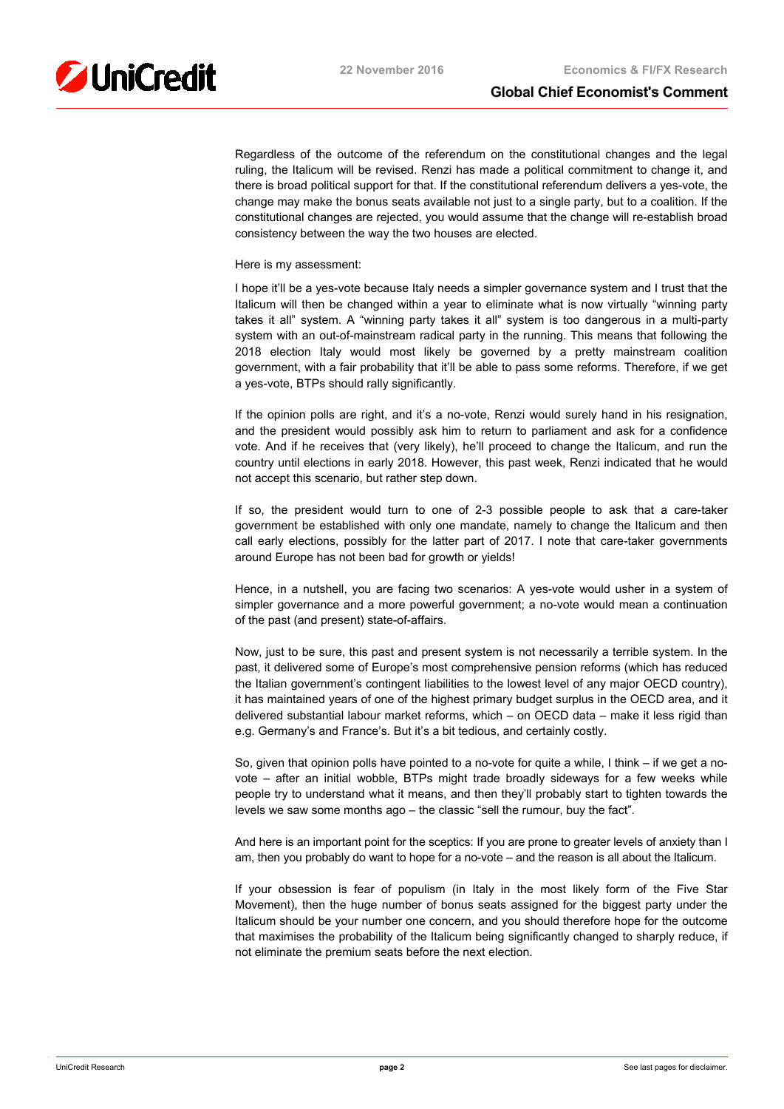Regardless of the outcome of the referendum on the constitutional changes and the legal ruling, the Italicum will be revised. Renzi has made a political commitment to change it, and there is broad political support for that. If the constitutional referendum delivers a yes-vote, the change may make the bonus seats available not just to a single party, but to a coalition. If the constitutional changes are rejected, you would assume that the change will re-establish broad consistency between the way the two houses are elected.

Here is my assessment:

I hope it'll be a yes-vote because Italy needs a simpler governance system and I trust that the Italicum will then be changed within a year to eliminate what is now virtually "winning party takes it all" system. A "winning party takes it all" system is too dangerous in a multi-party system with an out-of-mainstream radical party in the running. This means that following the 2018 election Italy would most likely be governed by a pretty mainstream coalition government, with a fair probability that it'll be able to pass some reforms. Therefore, if we get a yes-vote, BTPs should rally significantly.

If the opinion polls are right, and it's a no-vote, Renzi would surely hand in his resignation, and the president would possibly ask him to return to parliament and ask for a confidence vote. And if he receives that (very likely), he'll proceed to change the Italicum, and run the country until elections in early 2018. However, this past week, Renzi indicated that he would not accept this scenario, but rather step down.

If so, the president would turn to one of 2-3 possible people to ask that a care-taker government be established with only one mandate, namely to change the Italicum and then call early elections, possibly for the latter part of 2017. I note that care-taker governments around Europe has not been bad for growth or yields!

Hence, in a nutshell, you are facing two scenarios: A yes-vote would usher in a system of simpler governance and a more powerful government; a no-vote would mean a continuation of the past (and present) state-of-affairs.

Now, just to be sure, this past and present system is not necessarily a terrible system. In the past, it delivered some of Europe's most comprehensive pension reforms (which has reduced the Italian government's contingent liabilities to the lowest level of any major OECD country), it has maintained years of one of the highest primary budget surplus in the OECD area, and it delivered substantial labour market reforms, which – on OECD data – make it less rigid than e.g. Germany's and France's. But it's a bit tedious, and certainly costly.

So, given that opinion polls have pointed to a no-vote for quite a while, I think – if we get a novote – after an initial wobble, BTPs might trade broadly sideways for a few weeks while people try to understand what it means, and then they'll probably start to tighten towards the levels we saw some months ago – the classic "sell the rumour, buy the fact".

And here is an important point for the sceptics: If you are prone to greater levels of anxiety than I am, then you probably do want to hope for a no-vote – and the reason is all about the Italicum.

If your obsession is fear of populism (in Italy in the most likely form of the Five Star Movement), then the huge number of bonus seats assigned for the biggest party under the Italicum should be your number one concern, and you should therefore hope for the outcome that maximises the probability of the Italicum being significantly changed to sharply reduce, if not eliminate the premium seats before the next election.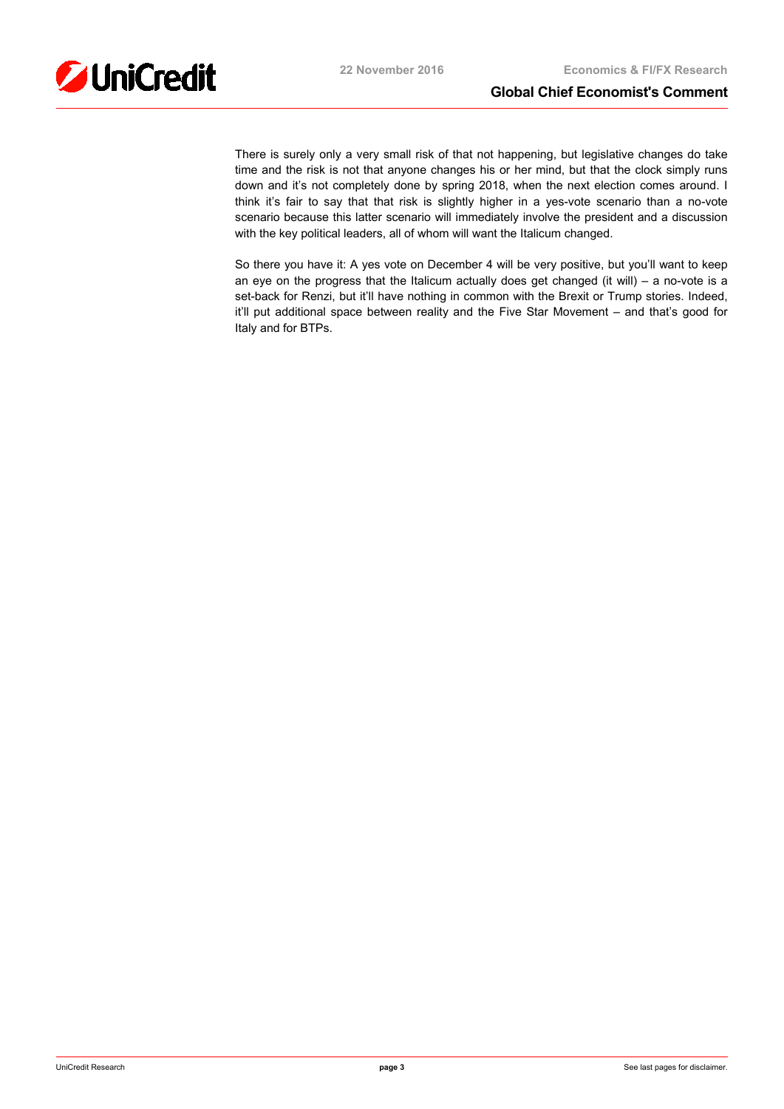There is surely only a very small risk of that not happening, but legislative changes do take time and the risk is not that anyone changes his or her mind, but that the clock simply runs down and it's not completely done by spring 2018, when the next election comes around. I think it's fair to say that that risk is slightly higher in a yes-vote scenario than a no-vote scenario because this latter scenario will immediately involve the president and a discussion with the key political leaders, all of whom will want the Italicum changed.

So there you have it: A yes vote on December 4 will be very positive, but you'll want to keep an eye on the progress that the Italicum actually does get changed (it will) – a no-vote is a set-back for Renzi, but it'll have nothing in common with the Brexit or Trump stories. Indeed, it'll put additional space between reality and the Five Star Movement – and that's good for Italy and for BTPs.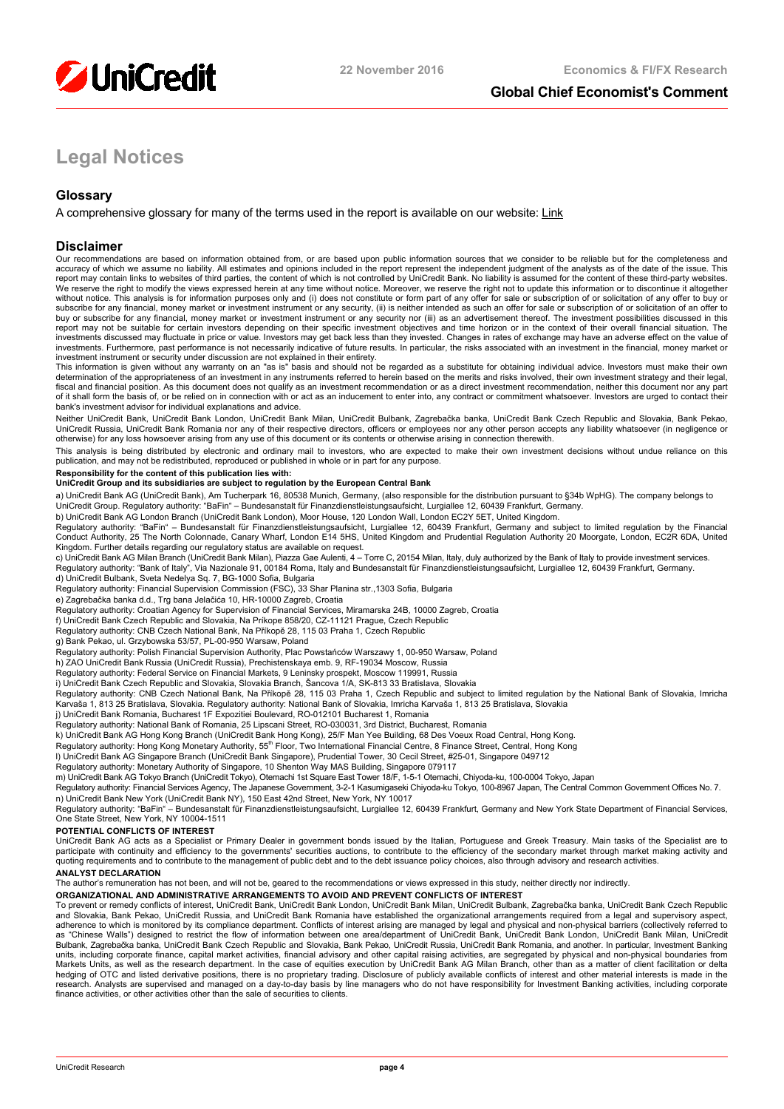

# **Global Chief Economist's Comment**

# **Legal Notices**

# **Glossary**

A comprehensive glossary for many of the terms used in the report is available on our website: [Link](https://www.research.unicredit.eu/DocsKey/equitywesterneuropean_docs_1999_151258.ashx?EXT=pdf&KEY=By8-CMheY8S44D31UY0JPFj1GhliWWGozXWk7sYavnI5oaWy5k91lbN2oJ-aOpAb&T=1)

## **Disclaimer**

Our recommendations are based on information obtained from, or are based upon public information sources that we consider to be reliable but for the completeness and accuracy of which we assume no liability. All estimates and opinions included in the report represent the independent judgment of the analysts as of the date of the issue. This<br>report may contain links to websites of third We reserve the right to modify the views expressed herein at any time without notice. Moreover, we reserve the right not to update this information or to discontinue it altogether without notice. This analysis is for information purposes only and (i) does not constitute or form part of any offer for sale or subscription of or solicitation of any offer to buy or<br>subscribe for any financial, money mar buy or subscribe for any financial, money market or investment instrument or any security nor (iii) as an advertisement thereof. The investment possibilities discussed in this report may not be suitable for certain investors depending on their specific investment objectives and time horizon or in the context of their overall financial situation. The<br>investments discussed may fluctuate in price o investments. Furthermore, past performance is not necessarily indicative of future results. In particular, the risks associated with an investment in the financial, money market or

investment instrument or security under discussion are not explained in their entirety.<br>This information is given without any warranty on an "as is" basis and should not be regarded as a substitute for obtaining individual fiscal and financial position. As this document does not qualify as an investment recommendation or as a direct investment recommendation, neither this document nor any part of it shall form the basis of, or be relied on in connection with or act as an inducement to enter into, any contract or commitment whatsoever. Investors are urged to contact their bank's investment advisor for individual explanations and advice.

Neither UniCredit Bank, UniCredit Bank London, UniCredit Bank Milan, UniCredit Bulbank, Zagrebačka banka, UniCredit Bank Czech Republic and Slovakia, Bank Pekao, UniCredit Russia, UniCredit Bank Romania nor any of their respective directors, officers or employees nor any other person accepts any liability whatsoever (in negligence or otherwise) for any loss howsoever arising from any use of this document or its contents or otherwise arising in connection therewith.

This analysis is being distributed by electronic and ordinary mail to investors, who are expected to make their own investment decisions without undue reliance on this publication, and may not be redistributed, reproduced or published in whole or in part for any purpose.

#### **Responsibility for the content of this publication lies with:**

## **UniCredit Group and its subsidiaries are subject to regulation by the European Central Bank**

a) UniCredit Bank AG (UniCredit Bank), Am Tucherpark 16, 80538 Munich, Germany, (also responsible for the distribution pursuant to §34b WpHG). The company belongs to UniCredit Group. Regulatory authority: "BaFin" – Bundesanstalt für Finanzdienstleistungsaufsicht, Lurgiallee 12, 60439 Frankfurt, Germany.

b) UniCredit Bank AG London Branch (UniCredit Bank London), Moor House, 120 London Wall, London EC2Y 5ET, United Kingdom.

Regulatory authority: "BaFin" – Bundesanstalt für Finanzdienstleistungsaufsicht, Lurgiallee 12, 60439 Frankfurt, Germany and subject to limited regulation by the Financial<br>Conduct Authority, 25 The North Colonnade, Canary Kingdom. Further details regarding our regulatory status are available on request.

c) UniCredit Bank AG Milan Branch (UniCredit Bank Milan), Piazza Gae Aulenti, 4 - Torre C, 20154 Milan, Italy, duly authorized by the Bank of Italy to provide investment services Regulatory authority: "Bank of Italy", Via Nazionale 91, 00184 Roma, Italy and Bundesanstalt für Finanzdienstleistungsaufsicht, Lurgiallee 12, 60439 Frankfurt, Germany. d) UniCredit Bulbank, Sveta Nedelya Sq. 7, BG-1000 Sofia, Bulgaria

Regulatory authority: Financial Supervision Commission (FSC), 33 Shar Planina str.,1303 Sofia, Bulgaria

e) Zagrebačka banka d.d., Trg bana Jelačića 10, HR-10000 Zagreb, Croatia

Regulatory authority: Croatian Agency for Supervision of Financial Services, Miramarska 24B, 10000 Zagreb, Croatia

f) UniCredit Bank Czech Republic and Slovakia, Na Príkope 858/20, CZ-11121 Prague, Czech Republic

Regulatory authority: CNB Czech National Bank, Na Příkopě 28, 115 03 Praha 1, Czech Republic

g) Bank Pekao, ul. Grzybowska 53/57, PL-00-950 Warsaw, Poland Regulatory authority: Polish Financial Supervision Authority, Plac Powstańców Warszawy 1, 00-950 Warsaw, Poland

h) ZAO UniCredit Bank Russia (UniCredit Russia), Prechistenskaya emb. 9, RF-19034 Moscow, Russia Regulatory authority: Federal Service on Financial Markets, 9 Leninsky prospekt, Moscow 119991, Russia

i) UniCredit Bank Czech Republic and Slovakia, Slovakia Branch, Šancova 1/A, SK-813 33 Bratislava, Slovakia

Regulatory authority: CNB Czech National Bank, Na Příkopě 28, 115 03 Praha 1, Czech Republic and subject to limited regulation by the National Bank of Slovakia, Imricha Karvaša 1, 813 25 Bratislava, Slovakia. Regulatory authority: National Bank of Slovakia, Imricha Karvaša 1, 813 25 Bratislava, Slovakia<br>j) UniCredit Bank Romania, Bucharest 1F Expozitiei Boulevard, RO-012101 Bucharest 1, R

Regulatory authority: National Bank of Romania, 25 Lipscani Street, RO-030031, 3rd District, Bucharest, Romania

k) UniCredit Bank AG Hong Kong Branch (UniCredit Bank Hong Kong), 25/F Man Yee Building, 68 Des Voeux Road Central, Hong Kong.

Regulatory authority: Hong Kong Monetary Authority, 55<sup>th</sup> Floor, Two International Financial Centre, 8 Finance Street, Central, Hong Kong<br>I) UniCredit Bank AG Singapore Branch (UniCredit Bank Singapore), Prudential Tower,

Regulatory authority: Monetary Authority of Singapore, 10 Shenton Way MAS Building, Singapore 079117<br>m) UniCredit Bank AG Tokyo Branch (UniCredit Tokyo), Otemachi 1st Square East Tower 18/F, 1-5-1 Otemachi, Chiyoda-ku, 100

Regulatory authority: Financial Services Agency, The Japanese Government, 3-2-1 Kasumigaseki Chiyoda-ku Tokyo, 100-8967 Japan, The Central Common Government Offices No. 7. n) UniCredit Bank New York (UniCredit Bank NY), 150 East 42nd Street, New York, NY 10017

Regulatory authority: "BaFin" – Bundesanstalt für Finanzdienstleistungsaufsicht, Lurgiallee 12, 60439 Frankfurt, Germany and New York State Department of Financial Services,<br>One State Street, New York, NY 10004-1511

#### **POTENTIAL CONFLICTS OF INTEREST**

UniCredit Bank AG acts as a Specialist or Primary Dealer in government bonds issued by the Italian, Portuguese and Greek Treasury. Main tasks of the Specialist are to<br>participate with continuity and efficiency to the gover

## **ANALYST DECLARATION**

The author's remuneration has not been, and will not be, geared to the recommendations or views expressed in this study, neither directly nor indirectly.

**ORGANIZATIONAL AND ADMINISTRATIVE ARRANGEMENTS TO AVOID AND PREVENT CONFLICTS OF INTEREST**

To prevent or remedy conflicts of interest, UniCredit Bank, UniCredit Bank London, UniCredit Bank Milan, UniCredit Bulbank, Zagrebačka banka, UniCredit Bank Czech Republic and Slovakia, Bank Pekao, UniCredit Russia, and UniCredit Bank Romania have established the organizational arrangements required from a legal and supervisory aspect,<br>adherence to which is monitored by its compliance depart Bulbank, Zagrebačka banka, UniCredit Bank Czech Republic and Slovakia, Bank Pekao, UniCredit Russia, UniCredit Bank Romania, and another. In particular, Investment Banking<br>units, including corporate finance, capital market hedging of OTC and listed derivative positions, there is no proprietary trading. Disclosure of publicly available conflicts of interest and other material interests is made in the<br>research. Analysts are supervised and mana finance activities, or other activities other than the sale of securities to clients.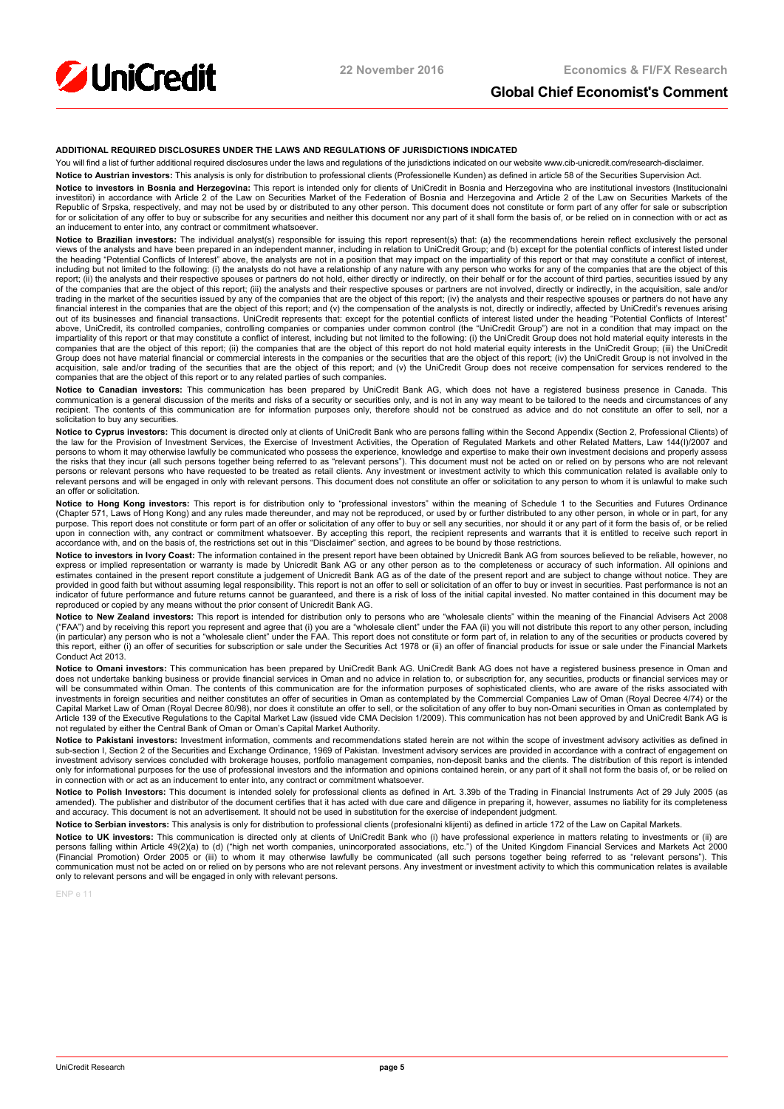

# **Global Chief Economist's Comment**

#### **ADDITIONAL REQUIRED DISCLOSURES UNDER THE LAWS AND REGULATIONS OF JURISDICTIONS INDICATED**

You will find a list of further additional required disclosures under the laws and regulations of the jurisdictions indicated on our website www.cib-unicredit.com/research-disclaimer.

**Notice to Austrian investors:** This analysis is only for distribution to professional clients (Professionelle Kunden) as defined in article 58 of the Securities Supervision Act. **Notice to investors in Bosnia and Herzegovina:** This report is intended only for clients of UniCredit in Bosnia and Herzegovina who are institutional investors (Institucionalni<br>investitori) in accordance with Article 2 of for or solicitation of any offer to buy or subscribe for any securities and neither this document nor any part of it shall form the basis of, or be relied on in connection with or act as an inducement to enter into, any contract or commitment whatsoever.

Notice to Brazilian investors: The individual analyst(s) responsible for issuing this report represent(s) that: (a) the recommendations herein reflect exclusively the personal views of the analysts and have been prepared in an independent manner, including in relation to UniCredit Group; and (b) except for the potential conflicts of interest listed under<br>the heading "Potential Conflicts of Inter including but not limited to the following: (i) the analysts do not have a relationship of any nature with any person who works for any of the companies that are the object of this report; (ii) the analysts and their respective spouses or partners do not hold, either directly or indirectly, on their behalf or for the account of third parties, securities issued by any<br>of the companies that are the obj trading in the market of the securities issued by any of the companies that are the object of this report; (iv) the analysts and their respective spouses or partners do not have any financial interest in the companies that are the object of this report; and (v) the compensation of the analysts is not, directly or indirectly, affected by UniCredit's revenues arising<br>out of its businesses and financial above, UniCredit, its controlled companies, controlling companies or companies under common control (the "UniCredit Group") are not in a condition that may impact on the impartiality of this report or that may constitute a conflict of interest, including but not limited to the following: (i) the UniCredit Group does not hold material equity interests in the<br>companies that are the object of Group does not have material financial or commercial interests in the companies or the securities that are the object of this report; (iv) the UniCredit Group is not involved in the acquisition, sale and/or trading of the securities that are the object of this report; and (v) the UniCredit Group does not receive compensation for services rendered to the<br>companies that are the object of this report or

**Notice to Canadian investors:** This communication has been prepared by UniCredit Bank AG, which does not have a registered business presence in Canada. This<br>communication is a general discussion of the merits and risks of solicitation to buy any securities

**Notice to Cyprus investors:** This document is directed only at clients of UniCredit Bank who are persons falling within the Second Appendix (Section 2, Professional Clients) of the law for the Provision of Investment Services, the Exercise of Investment Activities, the Operation of Regulated Markets and other Related Matters, Law 144(I)/2007 and<br>persons to whom it may otherwise lawfully be commun the risks that they incur (all such persons together being referred to as "relevant persons"). This document must not be acted on or relied on by persons who are not relevant persons or relevant persons who have requested to be treated as retail clients. Any investment or investment activity to which this communication related is available only to<br>relevant persons and will be engaged in only wi an offer or solicitation.

Notice to Hong Kong investors: This report is for distribution only to "professional investors" within the meaning of Schedule 1 to the Securities and Futures Ordinance (Chapter 571, Laws of Hong Kong) and any rules made thereunder, and may not be reproduced, or used by or further distributed to any other person, in whole or in part, for any purpose. This report does not constitute or form part of an offer or solicitation of any offer to buy or sell any securities, nor should it or any part of it form the basis of, or be relied<br>upon in connection with, any con accordance with, and on the basis of, the restrictions set out in this "Disclaimer" section, and agrees to be bound by those restrictions.

**Notice to investors in Ivory Coast:** The information contained in the present report have been obtained by Unicredit Bank AG from sources believed to be reliable, however, no express or implied representation or warranty is made by Unicredit Bank AG or any other person as to the completeness or accuracy of such information. All opinions and estimates contained in the present report constitute a judgement of Unicredit Bank AG as of the date of the present report and are subject to change without notice. They are<br>provided in good faith but without assuming lega indicator of future performance and future returns cannot be guaranteed, and there is a risk of loss of the initial capital invested. No matter contained in this document may be<br>reproduced or copied by any means without th

**Notice to New Zealand investors:** This report is intended for distribution only to persons who are "wholesale clients" within the meaning of the Financial Advisers Act 2008 ("FAA") and by receiving this report you represent and agree that (i) you are a "wholesale client" under the FAA (ii) you will not distribute this report to any other person, including<br>(in particular) any person who is not this report, either (i) an offer of securities for subscription or sale under the Securities Act 1978 or (ii) an offer of financial products for issue or sale under the Financial Markets Conduct Act 2013.

**Notice to Omani investors:** This communication has been prepared by UniCredit Bank AG. UniCredit Bank AG does not have a registered business presence in Oman and does not undertake banking business or provide financial services in Oman and no advice in relation to, or subscription for, any securities, products or financial services may or<br>will be consummated within Oman. The conten investments in foreign securities and neither constitutes an offer of securities in Oman as contemplated by the Commercial Companies Law of Oman (Royal Decree 4/74) or the Capital Market Law of Oman (Royal Decree 80/98), nor does it constitute an offer to sell, or the solicitation of any offer to buy non-Omani securities in Oman as contemplated by<br>Article 139 of the Executive Regulations to not regulated by either the Central Bank of Oman or Oman's Capital Market Authority.

Notice to Pakistani investors: Investment information, comments and recommendations stated herein are not within the scope of investment advisory activities as defined in sub-section I, Section 2 of the Securities and Exchange Ordinance, 1969 of Pakistan. Investment advisory services are provided in accordance with a contract of engagement on investment advisory services concluded with brokerage houses, portfolio management companies, non-deposit banks and the clients. The distribution of this report is intended<br>only for informational purposes for the use of pr in connection with or act as an inducement to enter into, any contract or commitment whatsoever.

**Notice to Polish Investors**: This document is intended solely for professional clients as defined in Art. 3.39b of the Trading in Financial Instruments Act of 29 July 2005 (as<br>amended). The publisher and distributor of th and accuracy. This document is not an advertisement. It should not be used in substitution for the exercise of independent judgment.

Notice to Serbian investors: This analysis is only for distribution to professional clients (profesionalni klijenti) as defined in article 172 of the Law on Capital Markets.

**Notice to UK investors:** This communication is directed only at clients of UniCredit Bank who (i) have professional experience in matters relating to investments or (ii) are<br>persons falling within Article 49(2)(a) to (d) (Financial Promotion) Order 2005 or (iii) to whom it may otherwise lawfully be communicated (all such persons together being referred to as "relevant persons"). This communication must not be acted on or relied on by persons who are not relevant persons. Any investment or investment activity to which this communication relates is available only to relevant persons and will be engaged in only with relevant persons.

ENP e 11